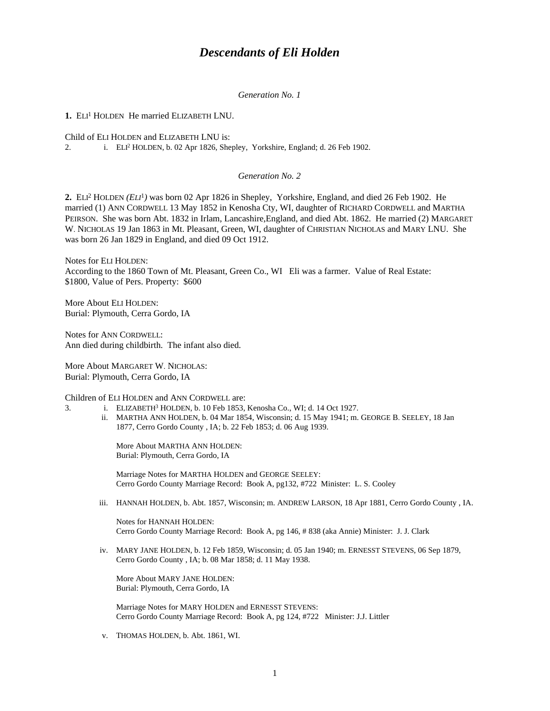# *Descendants of Eli Holden*

*Generation No. 1*

1. ELI<sup>1</sup> HOLDEN He married ELIZABETH LNU.

Child of ELI HOLDEN and ELIZABETH LNU is:

2. i. ELI<sup>2</sup> HOLDEN, b. 02 Apr 1826, Shepley, Yorkshire, England; d. 26 Feb 1902.

# *Generation No. 2*

**2.** ELI<sup>2</sup> HOLDEN *(ELI*<sup>1</sup> *)* was born 02 Apr 1826 in Shepley, Yorkshire, England, and died 26 Feb 1902. He married (1) ANN CORDWELL 13 May 1852 in Kenosha Cty, WI, daughter of RICHARD CORDWELL and MARTHA PEIRSON. She was born Abt. 1832 in Irlam, Lancashire,England, and died Abt. 1862. He married (2) MARGARET W. NICHOLAS 19 Jan 1863 in Mt. Pleasant, Green, WI, daughter of CHRISTIAN NICHOLAS and MARY LNU. She was born 26 Jan 1829 in England, and died 09 Oct 1912.

Notes for ELI HOLDEN: According to the 1860 Town of Mt. Pleasant, Green Co., WI Eli was a farmer. Value of Real Estate: \$1800, Value of Pers. Property: \$600

More About ELI HOLDEN: Burial: Plymouth, Cerra Gordo, IA

Notes for ANN CORDWELL: Ann died during childbirth. The infant also died.

More About MARGARET W. NICHOLAS: Burial: Plymouth, Cerra Gordo, IA

Children of ELI HOLDEN and ANN CORDWELL are:

- 3. i. ELIZABETH<sup>3</sup> HOLDEN, b. 10 Feb 1853, Kenosha Co., WI; d. 14 Oct 1927.
	- ii. MARTHA ANN HOLDEN, b. 04 Mar 1854, Wisconsin; d. 15 May 1941; m. GEORGE B. SEELEY, 18 Jan 1877, Cerro Gordo County , IA; b. 22 Feb 1853; d. 06 Aug 1939.

More About MARTHA ANN HOLDEN: Burial: Plymouth, Cerra Gordo, IA

Marriage Notes for MARTHA HOLDEN and GEORGE SEELEY: Cerro Gordo County Marriage Record: Book A, pg132, #722 Minister: L. S. Cooley

iii. HANNAH HOLDEN, b. Abt. 1857, Wisconsin; m. ANDREW LARSON, 18 Apr 1881, Cerro Gordo County , IA.

Notes for HANNAH HOLDEN: Cerro Gordo County Marriage Record: Book A, pg 146, # 838 (aka Annie) Minister: J. J. Clark

iv. MARY JANE HOLDEN, b. 12 Feb 1859, Wisconsin; d. 05 Jan 1940; m. ERNESST STEVENS, 06 Sep 1879, Cerro Gordo County , IA; b. 08 Mar 1858; d. 11 May 1938.

More About MARY JANE HOLDEN: Burial: Plymouth, Cerra Gordo, IA

Marriage Notes for MARY HOLDEN and ERNESST STEVENS: Cerro Gordo County Marriage Record: Book A, pg 124, #722 Minister: J.J. Littler

v. THOMAS HOLDEN, b. Abt. 1861, WI.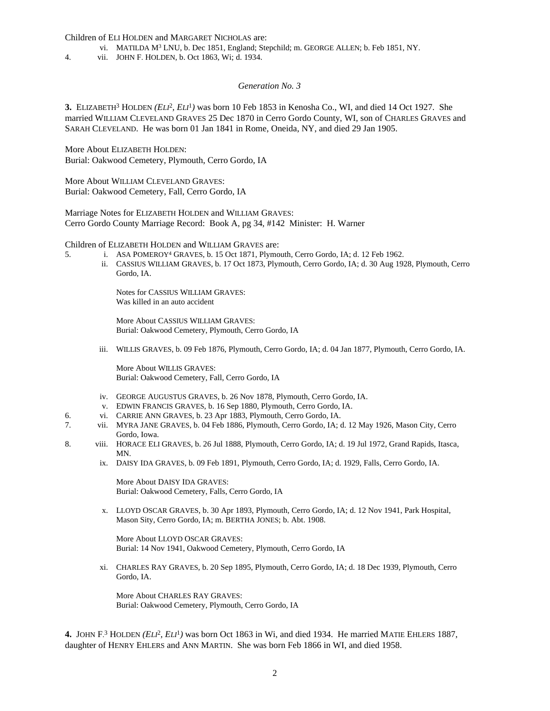Children of ELI HOLDEN and MARGARET NICHOLAS are:

- vi. MATILDA M<sup>3</sup> LNU, b. Dec 1851, England; Stepchild; m. GEORGE ALLEN; b. Feb 1851, NY.
- 4. vii. JOHN F. HOLDEN, b. Oct 1863, Wi; d. 1934.

#### *Generation No. 3*

**3.** ELIZABETH<sup>3</sup> HOLDEN (*ELI*<sup>2</sup>, *ELI*<sup>1</sup>) was born 10 Feb 1853 in Kenosha Co., WI, and died 14 Oct 1927. She married WILLIAM CLEVELAND GRAVES 25 Dec 1870 in Cerro Gordo County, WI, son of CHARLES GRAVES and SARAH CLEVELAND. He was born 01 Jan 1841 in Rome, Oneida, NY, and died 29 Jan 1905.

More About ELIZABETH HOLDEN: Burial: Oakwood Cemetery, Plymouth, Cerro Gordo, IA

More About WILLIAM CLEVELAND GRAVES: Burial: Oakwood Cemetery, Fall, Cerro Gordo, IA

Marriage Notes for ELIZABETH HOLDEN and WILLIAM GRAVES: Cerro Gordo County Marriage Record: Book A, pg 34, #142 Minister: H. Warner

Children of ELIZABETH HOLDEN and WILLIAM GRAVES are:

- 5. i. ASA POMEROY<sup>4</sup> GRAVES, b. 15 Oct 1871, Plymouth, Cerro Gordo, IA; d. 12 Feb 1962.
	- ii. CASSIUS WILLIAM GRAVES, b. 17 Oct 1873, Plymouth, Cerro Gordo, IA; d. 30 Aug 1928, Plymouth, Cerro Gordo, IA.

Notes for CASSIUS WILLIAM GRAVES: Was killed in an auto accident

More About CASSIUS WILLIAM GRAVES: Burial: Oakwood Cemetery, Plymouth, Cerro Gordo, IA

iii. WILLIS GRAVES, b. 09 Feb 1876, Plymouth, Cerro Gordo, IA; d. 04 Jan 1877, Plymouth, Cerro Gordo, IA.

More About WILLIS GRAVES: Burial: Oakwood Cemetery, Fall, Cerro Gordo, IA

- iv. GEORGE AUGUSTUS GRAVES, b. 26 Nov 1878, Plymouth, Cerro Gordo, IA.
- v. EDWIN FRANCIS GRAVES, b. 16 Sep 1880, Plymouth, Cerro Gordo, IA.
- 6. vi. CARRIE ANN GRAVES, b. 23 Apr 1883, Plymouth, Cerro Gordo, IA.
- 7. vii. MYRA JANE GRAVES, b. 04 Feb 1886, Plymouth, Cerro Gordo, IA; d. 12 May 1926, Mason City, Cerro Gordo, Iowa.
- 8. viii. HORACE ELI GRAVES, b. 26 Jul 1888, Plymouth, Cerro Gordo, IA; d. 19 Jul 1972, Grand Rapids, Itasca, MN.
	- ix. DAISY IDA GRAVES, b. 09 Feb 1891, Plymouth, Cerro Gordo, IA; d. 1929, Falls, Cerro Gordo, IA.

More About DAISY IDA GRAVES: Burial: Oakwood Cemetery, Falls, Cerro Gordo, IA

x. LLOYD OSCAR GRAVES, b. 30 Apr 1893, Plymouth, Cerro Gordo, IA; d. 12 Nov 1941, Park Hospital, Mason Sity, Cerro Gordo, IA; m. BERTHA JONES; b. Abt. 1908.

More About LLOYD OSCAR GRAVES: Burial: 14 Nov 1941, Oakwood Cemetery, Plymouth, Cerro Gordo, IA

xi. CHARLES RAY GRAVES, b. 20 Sep 1895, Plymouth, Cerro Gordo, IA; d. 18 Dec 1939, Plymouth, Cerro Gordo, IA.

More About CHARLES RAY GRAVES: Burial: Oakwood Cemetery, Plymouth, Cerro Gordo, IA

4. JOHN F.<sup>3</sup> HOLDEN *(ELI<sup>2</sup>, ELI*<sup>1</sup>) was born Oct 1863 in Wi, and died 1934. He married MATIE EHLERS 1887, daughter of HENRY EHLERS and ANN MARTIN. She was born Feb 1866 in WI, and died 1958.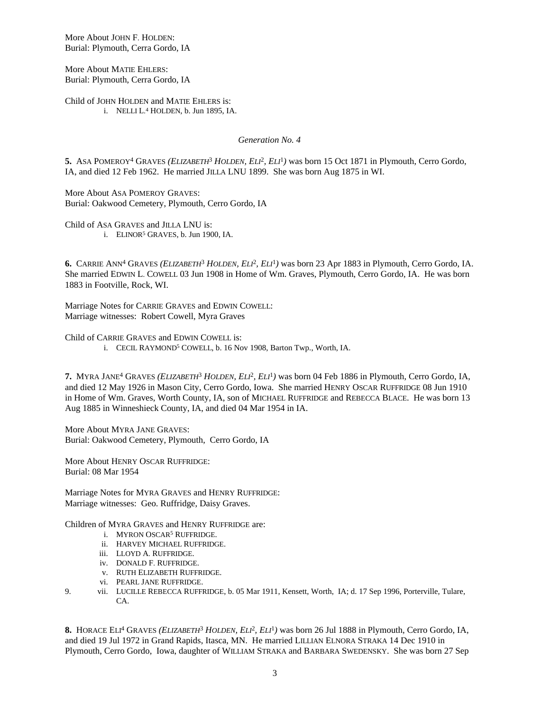More About JOHN F. HOLDEN: Burial: Plymouth, Cerra Gordo, IA

More About MATIE EHLERS: Burial: Plymouth, Cerra Gordo, IA

Child of JOHN HOLDEN and MATIE EHLERS is: i. NELLI L. 4 HOLDEN, b. Jun 1895, IA.

*Generation No. 4*

5. ASA POMEROY<sup>4</sup> GRAVES (ELIZABETH<sup>3</sup> HOLDEN, ELI<sup>2</sup>, ELI<sup>1</sup>) was born 15 Oct 1871 in Plymouth, Cerro Gordo, IA, and died 12 Feb 1962. He married JILLA LNU 1899. She was born Aug 1875 in WI.

More About ASA POMEROY GRAVES: Burial: Oakwood Cemetery, Plymouth, Cerro Gordo, IA

Child of ASA GRAVES and JILLA LNU is: i. ELINOR<sup>5</sup> GRAVES, b. Jun 1900, IA.

6. CARRIE ANN<sup>4</sup> GRAVES (ELIZABETH<sup>3</sup> HOLDEN, ELI<sup>2</sup>, ELI<sup>1</sup>) was born 23 Apr 1883 in Plymouth, Cerro Gordo, IA. She married EDWIN L. COWELL 03 Jun 1908 in Home of Wm. Graves, Plymouth, Cerro Gordo, IA. He was born 1883 in Footville, Rock, WI.

Marriage Notes for CARRIE GRAVES and EDWIN COWELL: Marriage witnesses: Robert Cowell, Myra Graves

Child of CARRIE GRAVES and EDWIN COWELL is:

i. CECIL RAYMOND<sup>5</sup> COWELL, b. 16 Nov 1908, Barton Twp., Worth, IA.

**7.** MYRA JANE<sup>4</sup> GRAVES *(ELIZABETH*<sup>3</sup>  *HOLDEN, ELI*<sup>2</sup> *, ELI*<sup>1</sup> *)* was born 04 Feb 1886 in Plymouth, Cerro Gordo, IA, and died 12 May 1926 in Mason City, Cerro Gordo, Iowa. She married HENRY OSCAR RUFFRIDGE 08 Jun 1910 in Home of Wm. Graves, Worth County, IA, son of MICHAEL RUFFRIDGE and REBECCA BLACE. He was born 13 Aug 1885 in Winneshieck County, IA, and died 04 Mar 1954 in IA.

More About MYRA JANE GRAVES: Burial: Oakwood Cemetery, Plymouth, Cerro Gordo, IA

More About HENRY OSCAR RUFFRIDGE: Burial: 08 Mar 1954

Marriage Notes for MYRA GRAVES and HENRY RUFFRIDGE: Marriage witnesses: Geo. Ruffridge, Daisy Graves.

Children of MYRA GRAVES and HENRY RUFFRIDGE are:

- i. MYRON OSCAR<sup>5</sup> RUFFRIDGE.
- ii. HARVEY MICHAEL RUFFRIDGE.
- iii. LLOYD A. RUFFRIDGE.
- iv. DONALD F. RUFFRIDGE.
- v. RUTH ELIZABETH RUFFRIDGE.
- vi. PEARL JANE RUFFRIDGE.
- 9. vii. LUCILLE REBECCA RUFFRIDGE, b. 05 Mar 1911, Kensett, Worth, IA; d. 17 Sep 1996, Porterville, Tulare,  $\Gamma$  $\Delta$

8. HORACE ELI<sup>4</sup> GRAVES *(ELIZABETH<sup>3</sup> HOLDEN, ELI<sup>2</sup>, ELI<sup>1</sup>)* was born 26 Jul 1888 in Plymouth, Cerro Gordo, IA, and died 19 Jul 1972 in Grand Rapids, Itasca, MN. He married LILLIAN ELNORA STRAKA 14 Dec 1910 in Plymouth, Cerro Gordo, Iowa, daughter of WILLIAM STRAKA and BARBARA SWEDENSKY. She was born 27 Sep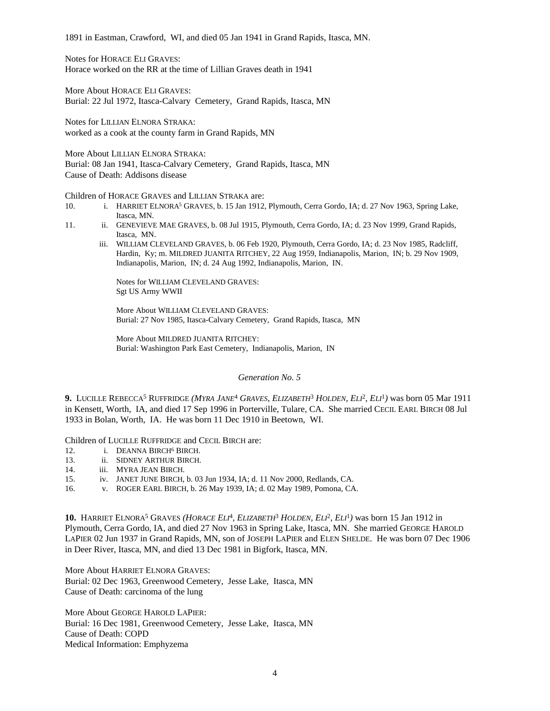1891 in Eastman, Crawford, WI, and died 05 Jan 1941 in Grand Rapids, Itasca, MN.

Notes for HORACE ELI GRAVES: Horace worked on the RR at the time of Lillian Graves death in 1941

More About HORACE ELI GRAVES: Burial: 22 Jul 1972, Itasca-Calvary Cemetery, Grand Rapids, Itasca, MN

Notes for LILLIAN ELNORA STRAKA: worked as a cook at the county farm in Grand Rapids, MN

More About LILLIAN ELNORA STRAKA: Burial: 08 Jan 1941, Itasca-Calvary Cemetery, Grand Rapids, Itasca, MN Cause of Death: Addisons disease

Children of HORACE GRAVES and LILLIAN STRAKA are:

- 10. i. HARRIET ELNORA<sup>5</sup> GRAVES, b. 15 Jan 1912, Plymouth, Cerra Gordo, IA; d. 27 Nov 1963, Spring Lake, Itasca, MN.
- 11. ii. GENEVIEVE MAE GRAVES, b. 08 Jul 1915, Plymouth, Cerra Gordo, IA; d. 23 Nov 1999, Grand Rapids, Itasca, MN.
	- iii. WILLIAM CLEVELAND GRAVES, b. 06 Feb 1920, Plymouth, Cerra Gordo, IA; d. 23 Nov 1985, Radcliff, Hardin, Ky; m. MILDRED JUANITA RITCHEY, 22 Aug 1959, Indianapolis, Marion, IN; b. 29 Nov 1909, Indianapolis, Marion, IN; d. 24 Aug 1992, Indianapolis, Marion, IN.

Notes for WILLIAM CLEVELAND GRAVES: Sgt US Army WWII

More About WILLIAM CLEVELAND GRAVES: Burial: 27 Nov 1985, Itasca-Calvary Cemetery, Grand Rapids, Itasca, MN

More About MILDRED JUANITA RITCHEY: Burial: Washington Park East Cemetery, Indianapolis, Marion, IN

### *Generation No. 5*

**9.** LUCILLE REBECCA<sup>5</sup> RUFFRIDGE *(MYRA JANE*<sup>4</sup>  *GRAVES, ELIZABETH*<sup>3</sup>  *HOLDEN, ELI*<sup>2</sup> *, ELI*<sup>1</sup> *)* was born 05 Mar 1911 in Kensett, Worth, IA, and died 17 Sep 1996 in Porterville, Tulare, CA. She married CECIL EARL BIRCH 08 Jul 1933 in Bolan, Worth, IA. He was born 11 Dec 1910 in Beetown, WI.

Children of LUCILLE RUFFRIDGE and CECIL BIRCH are:

- 12. i. DEANNA BIRCH<sup>6</sup> BIRCH.
- 13. ii. SIDNEY ARTHUR BIRCH.<br>14. iii. MYRA JEAN BIRCH.
- iii. MYRA JEAN BIRCH.
- 15. iv. JANET JUNE BIRCH, b. 03 Jun 1934, IA; d. 11 Nov 2000, Redlands, CA.
- 16. v. ROGER EARL BIRCH, b. 26 May 1939, IA; d. 02 May 1989, Pomona, CA.

**10.** HARRIET ELNORA<sup>5</sup> GRAVES *(HORACE ELI*<sup>4</sup> *, ELIZABETH*<sup>3</sup>  *HOLDEN, ELI*<sup>2</sup> *, ELI*<sup>1</sup> *)* was born 15 Jan 1912 in Plymouth, Cerra Gordo, IA, and died 27 Nov 1963 in Spring Lake, Itasca, MN. She married GEORGE HAROLD LAPIER 02 Jun 1937 in Grand Rapids, MN, son of JOSEPH LAPIER and ELEN SHELDE. He was born 07 Dec 1906 in Deer River, Itasca, MN, and died 13 Dec 1981 in Bigfork, Itasca, MN.

More About HARRIET ELNORA GRAVES: Burial: 02 Dec 1963, Greenwood Cemetery, Jesse Lake, Itasca, MN Cause of Death: carcinoma of the lung

More About GEORGE HAROLD LAPIER: Burial: 16 Dec 1981, Greenwood Cemetery, Jesse Lake, Itasca, MN Cause of Death: COPD Medical Information: Emphyzema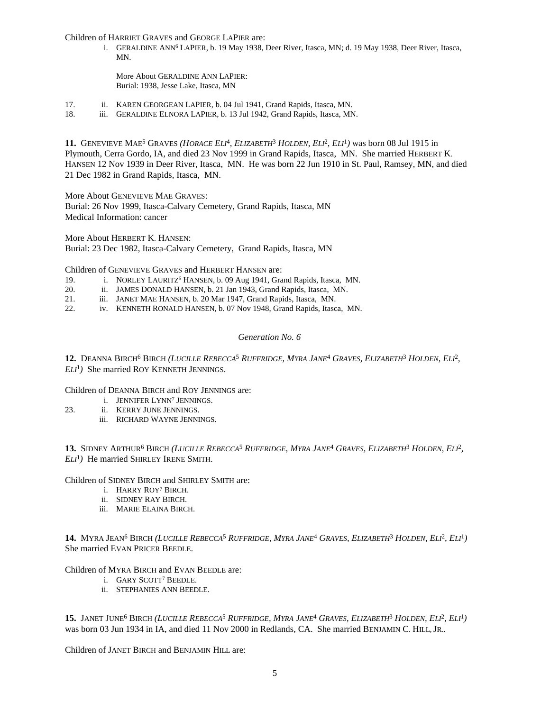Children of HARRIET GRAVES and GEORGE LAPIER are:

i. GERALDINE ANN<sup>6</sup> LAPIER, b. 19 May 1938, Deer River, Itasca, MN; d. 19 May 1938, Deer River, Itasca, MN.

More About GERALDINE ANN LAPIER: Burial: 1938, Jesse Lake, Itasca, MN

- 17. ii. KAREN GEORGEAN LAPIER, b. 04 Jul 1941, Grand Rapids, Itasca, MN.
- 18. iii. GERALDINE ELNORA LAPIER, b. 13 Jul 1942, Grand Rapids, Itasca, MN.

11. GENEVIEVE MAE<sup>5</sup> GRAVES *(HORACE ELI<sup>4</sup>, ELIZABETH*<sup>3</sup> HOLDEN, ELI<sup>2</sup>, ELI<sup>1</sup>) was born 08 Jul 1915 in Plymouth, Cerra Gordo, IA, and died 23 Nov 1999 in Grand Rapids, Itasca, MN. She married HERBERT K. HANSEN 12 Nov 1939 in Deer River, Itasca, MN. He was born 22 Jun 1910 in St. Paul, Ramsey, MN, and died 21 Dec 1982 in Grand Rapids, Itasca, MN.

More About GENEVIEVE MAE GRAVES: Burial: 26 Nov 1999, Itasca-Calvary Cemetery, Grand Rapids, Itasca, MN Medical Information: cancer

More About HERBERT K. HANSEN: Burial: 23 Dec 1982, Itasca-Calvary Cemetery, Grand Rapids, Itasca, MN

Children of GENEVIEVE GRAVES and HERBERT HANSEN are:

- 19. i. NORLEY LAURITZ<sup>6</sup> HANSEN, b. 09 Aug 1941, Grand Rapids, Itasca, MN.
- 20. ii. JAMES DONALD HANSEN, b. 21 Jan 1943, Grand Rapids, Itasca, MN.
- 21. iii. JANET MAE HANSEN, b. 20 Mar 1947, Grand Rapids, Itasca, MN.
- 22. iv. KENNETH RONALD HANSEN, b. 07 Nov 1948, Grand Rapids, Itasca, MN.

### *Generation No. 6*

12. DEANNA BIRCH<sup>6</sup> BIRCH (LUCILLE REBECCA<sup>5</sup> RUFFRIDGE, MYRA JANE<sup>4</sup> GRAVES, ELIZABETH<sup>3</sup> HOLDEN, ELI<sup>2</sup>, *ELI*<sup>1</sup> *)* She married ROY KENNETH JENNINGS.

Children of DEANNA BIRCH and ROY JENNINGS are:

- i. JENNIFER LYNN<sup>7</sup> JENNINGS.
- 23. ii. KERRY JUNE JENNINGS.
	- iii. RICHARD WAYNE JENNINGS.

13. SIDNEY ARTHUR<sup>6</sup> BIRCH (LUCILLE REBECCA<sup>5</sup> RUFFRIDGE, MYRA JANE<sup>4</sup> GRAVES, ELIZABETH<sup>3</sup> HOLDEN, ELI<sup>2</sup>, *ELI*<sup>1</sup> *)* He married SHIRLEY IRENE SMITH.

Children of SIDNEY BIRCH and SHIRLEY SMITH are:

- i. HARRY ROY<sup>7</sup> BIRCH.
- ii. SIDNEY RAY BIRCH.
- iii. MARIE ELAINA BIRCH.

14. MYRA JEAN<sup>6</sup> BIRCH (*LUCILLE REBECCA<sup>5</sup> RUFFRIDGE, MYRA JANE<sup>4</sup> GRAVES, ELIZABETH<sup>3</sup> HOLDEN, ELI<sup>2</sup>, ELI<sup>1</sup>)* She married EVAN PRICER BEEDLE.

Children of MYRA BIRCH and EVAN BEEDLE are:

- i. GARY SCOTT<sup>7</sup> BEEDLE.
- ii. STEPHANIES ANN BEEDLE.

15. JANET JUNE<sup>6</sup> BIRCH (*LUCILLE REBECCA<sup>5</sup> RUFFRIDGE, MYRA JANE<sup>4</sup> GRAVES, ELIZABETH<sup>3</sup> HOLDEN, ELI<sup>2</sup>, ELI<sup>1</sup>)* was born 03 Jun 1934 in IA, and died 11 Nov 2000 in Redlands, CA. She married BENJAMIN C. HILL, JR..

Children of JANET BIRCH and BENJAMIN HILL are: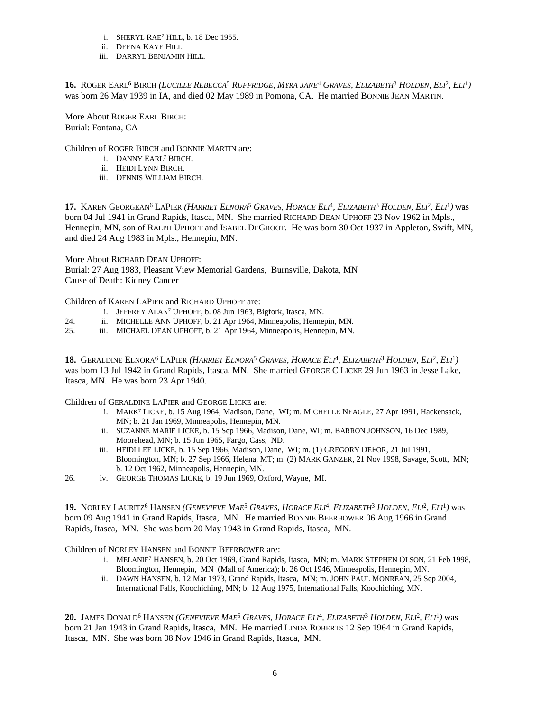- i. SHERYL RAE<sup>7</sup> HILL, b. 18 Dec 1955.
- ii. DEENA KAYE HILL.
- iii. DARRYL BENJAMIN HILL.

16. ROGER EARL<sup>6</sup> BIRCH (LUCILLE REBECCA<sup>5</sup> RUFFRIDGE, MYRA JANE<sup>4</sup> GRAVES, ELIZABETH<sup>3</sup> HOLDEN, ELI<sup>2</sup>, ELI<sup>1</sup>) was born 26 May 1939 in IA, and died 02 May 1989 in Pomona, CA. He married BONNIE JEAN MARTIN.

More About ROGER EARL BIRCH: Burial: Fontana, CA

Children of ROGER BIRCH and BONNIE MARTIN are:

- i. DANNY EARL<sup>7</sup> BIRCH.
- ii. HEIDI LYNN BIRCH.
- iii. DENNIS WILLIAM BIRCH.

17. KAREN GEORGEAN<sup>6</sup> LAPIER (*HARRIET ELNORA<sup>5</sup> GRAVES, HORACE ELI<sup>4</sup>, ELIZABETH<sup>3</sup> HOLDEN, ELI<sup>2</sup>, ELI<sup>1</sup>) was* born 04 Jul 1941 in Grand Rapids, Itasca, MN. She married RICHARD DEAN UPHOFF 23 Nov 1962 in Mpls., Hennepin, MN, son of RALPH UPHOFF and ISABEL DEGROOT. He was born 30 Oct 1937 in Appleton, Swift, MN, and died 24 Aug 1983 in Mpls., Hennepin, MN.

More About RICHARD DEAN UPHOFF: Burial: 27 Aug 1983, Pleasant View Memorial Gardens, Burnsville, Dakota, MN Cause of Death: Kidney Cancer

Children of KAREN LAPIER and RICHARD UPHOFF are:

- i. JEFFREY ALAN<sup>7</sup> UPHOFF, b. 08 Jun 1963, Bigfork, Itasca, MN.
- 24. ii. MICHELLE ANN UPHOFF, b. 21 Apr 1964, Minneapolis, Hennepin, MN.<br>25. iii. MICHAEL DEAN UPHOFF, b. 21 Apr 1964. Minneapolis, Hennepin, MN.
- iii. MICHAEL DEAN UPHOFF, b. 21 Apr 1964, Minneapolis, Hennepin, MN.

18. GERALDINE ELNORA<sup>6</sup> LAPIER (HARRIET ELNORA<sup>5</sup> GRAVES, HORACE ELI<sup>4</sup>, ELIZABETH<sup>3</sup> HOLDEN, ELI<sup>2</sup>, ELI<sup>1</sup>) was born 13 Jul 1942 in Grand Rapids, Itasca, MN. She married GEORGE C LICKE 29 Jun 1963 in Jesse Lake, Itasca, MN. He was born 23 Apr 1940.

Children of GERALDINE LAPIER and GEORGE LICKE are:

- i. MARK<sup>7</sup> LICKE, b. 15 Aug 1964, Madison, Dane, WI; m. MICHELLE NEAGLE, 27 Apr 1991, Hackensack, MN; b. 21 Jan 1969, Minneapolis, Hennepin, MN.
- ii. SUZANNE MARIE LICKE, b. 15 Sep 1966, Madison, Dane, WI; m. BARRON JOHNSON, 16 Dec 1989, Moorehead, MN; b. 15 Jun 1965, Fargo, Cass, ND.
- iii. HEIDI LEE LICKE, b. 15 Sep 1966, Madison, Dane, WI; m. (1) GREGORY DEFOR, 21 Jul 1991, Bloomington, MN; b. 27 Sep 1966, Helena, MT; m. (2) MARK GANZER, 21 Nov 1998, Savage, Scott, MN; b. 12 Oct 1962, Minneapolis, Hennepin, MN.

26. iv. GEORGE THOMAS LICKE, b. 19 Jun 1969, Oxford, Wayne, MI.

19. NORLEY LAURITZ<sup>6</sup> HANSEN (*GENEVIEVE MAE<sup>5</sup> GRAVES, HORACE ELI<sup>4</sup>, ELIZABETH<sup>3</sup> HOLDEN, ELI<sup>2</sup>, ELI<sup>1</sup>) was* born 09 Aug 1941 in Grand Rapids, Itasca, MN. He married BONNIE BEERBOWER 06 Aug 1966 in Grand Rapids, Itasca, MN. She was born 20 May 1943 in Grand Rapids, Itasca, MN.

Children of NORLEY HANSEN and BONNIE BEERBOWER are:

- i. MELANIE<sup>7</sup> HANSEN, b. 20 Oct 1969, Grand Rapids, Itasca, MN; m. MARK STEPHEN OLSON, 21 Feb 1998, Bloomington, Hennepin, MN (Mall of America); b. 26 Oct 1946, Minneapolis, Hennepin, MN.
- ii. DAWN HANSEN, b. 12 Mar 1973, Grand Rapids, Itasca, MN; m. JOHN PAUL MONREAN, 25 Sep 2004, International Falls, Koochiching, MN; b. 12 Aug 1975, International Falls, Koochiching, MN.

**20.** JAMES DONALD<sup>6</sup> HANSEN (*GENEVIEVE MAE<sup>5</sup> GRAVES, HORACE ELI<sup>4</sup>, ELIZABETH<sup>3</sup> HOLDEN, ELI<sup>2</sup>, ELI<sup>1</sup>) was* born 21 Jan 1943 in Grand Rapids, Itasca, MN. He married LINDA ROBERTS 12 Sep 1964 in Grand Rapids, Itasca, MN. She was born 08 Nov 1946 in Grand Rapids, Itasca, MN.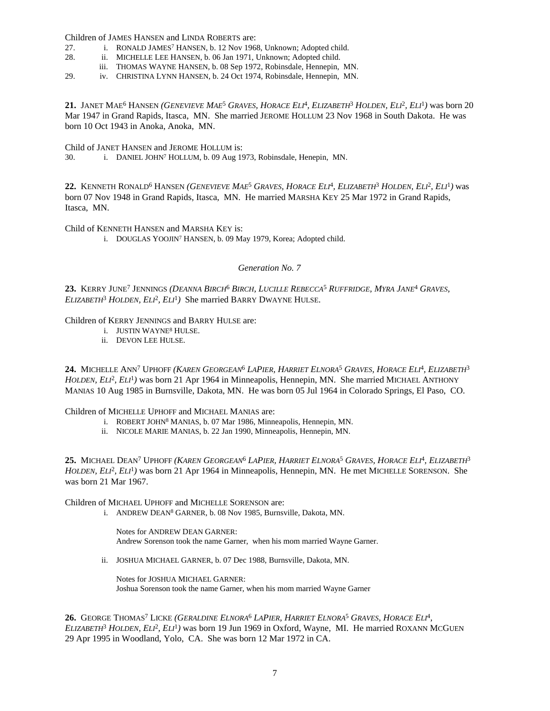Children of JAMES HANSEN and LINDA ROBERTS are:

- 27. i. RONALD JAMES<sup>7</sup> HANSEN, b. 12 Nov 1968, Unknown; Adopted child.
- 28. ii. MICHELLE LEE HANSEN, b. 06 Jan 1971, Unknown; Adopted child.
	- iii. THOMAS WAYNE HANSEN, b. 08 Sep 1972, Robinsdale, Hennepin, MN.
- 29. iv. CHRISTINA LYNN HANSEN, b. 24 Oct 1974, Robinsdale, Hennepin, MN.

21. JANET MAE<sup>6</sup> HANSEN (*GENEVIEVE MAE<sup>5</sup> GRAVES, HORACE ELI<sup>4</sup>, ELIZABETH<sup>3</sup> HOLDEN, ELI<sup>2</sup>, ELI<sup>1</sup>) was born 20* Mar 1947 in Grand Rapids, Itasca, MN. She married JEROME HOLLUM 23 Nov 1968 in South Dakota. He was born 10 Oct 1943 in Anoka, Anoka, MN.

Child of JANET HANSEN and JEROME HOLLUM is:

30. i. DANIEL JOHN<sup>7</sup> HOLLUM, b. 09 Aug 1973, Robinsdale, Henepin, MN.

22. KENNETH RONALD<sup>6</sup> HANSEN *(GENEVIEVE MAE<sup>5</sup> GRAVES, HORACE ELI<sup>4</sup>, ELIZABETH<sup>3</sup> HOLDEN, ELI<sup>2</sup>, ELI<sup>1</sup>) was* born 07 Nov 1948 in Grand Rapids, Itasca, MN. He married MARSHA KEY 25 Mar 1972 in Grand Rapids, Itasca, MN.

Child of KENNETH HANSEN and MARSHA KEY is:

i. DOUGLAS YOOJIN<sup>7</sup> HANSEN, b. 09 May 1979, Korea; Adopted child.

*Generation No. 7*

23. KERRY JUNE<sup>7</sup> JENNINGS (*DEANNA BIRCH<sup>6</sup> BIRCH, LUCILLE REBECCA<sup>5</sup> RUFFRIDGE, MYRA JANE<sup>4</sup> GRAVES, ELIZABETH*<sup>3</sup>  *HOLDEN, ELI*<sup>2</sup> *, ELI*<sup>1</sup> *)* She married BARRY DWAYNE HULSE.

## Children of KERRY JENNINGS and BARRY HULSE are:

- i. JUSTIN WAYNE<sup>8</sup> HULSE.
- ii. DEVON LEE HULSE.

24. MICHELLE ANN<sup>7</sup> UPHOFF (*KAREN GEORGEAN<sup>6</sup> LAPIER, HARRIET ELNORA<sup>5</sup> GRAVES, HORACE ELI<sup>4</sup>, ELIZABETH<sup>3</sup> HOLDEN, ELI*<sup>2</sup> *, ELI*<sup>1</sup> *)* was born 21 Apr 1964 in Minneapolis, Hennepin, MN. She married MICHAEL ANTHONY MANIAS 10 Aug 1985 in Burnsville, Dakota, MN. He was born 05 Jul 1964 in Colorado Springs, El Paso, CO.

Children of MICHELLE UPHOFF and MICHAEL MANIAS are:

- i. ROBERT JOHN<sup>8</sup> MANIAS, b. 07 Mar 1986, Minneapolis, Hennepin, MN.
- ii. NICOLE MARIE MANIAS, b. 22 Jan 1990, Minneapolis, Hennepin, MN.

**25.** Michael Dean<sup>7</sup> Uphoff (*Karen Georgean<sup>6</sup> LaPier, Harriet Elnora<sup>5</sup> Graves, Horace Eli<sup>4</sup>, Elizabeth<sup>3</sup> HOLDEN*, *ELI*<sup>2</sup>, *ELI*<sup>1</sup>) was born 21 Apr 1964 in Minneapolis, Hennepin, MN. He met MICHELLE SORENSON. She was born 21 Mar 1967.

Children of MICHAEL UPHOFF and MICHELLE SORENSON are:

i. ANDREW DEAN<sup>8</sup> GARNER, b. 08 Nov 1985, Burnsville, Dakota, MN.

Notes for ANDREW DEAN GARNER: Andrew Sorenson took the name Garner, when his mom married Wayne Garner.

ii. JOSHUA MICHAEL GARNER, b. 07 Dec 1988, Burnsville, Dakota, MN.

Notes for JOSHUA MICHAEL GARNER: Joshua Sorenson took the name Garner, when his mom married Wayne Garner

**26.** GEORGE THOMAS<sup>7</sup> LICKE (*GERALDINE ELNORA<sup>6</sup> LAPIER, HARRIET ELNORA<sup>5</sup> GRAVES, HORACE ELI<sup>4</sup>, ELIZABETH*<sup>3</sup>  *HOLDEN, ELI*<sup>2</sup> *, ELI*<sup>1</sup> *)* was born 19 Jun 1969 in Oxford, Wayne, MI. He married ROXANN MCGUEN 29 Apr 1995 in Woodland, Yolo, CA. She was born 12 Mar 1972 in CA.